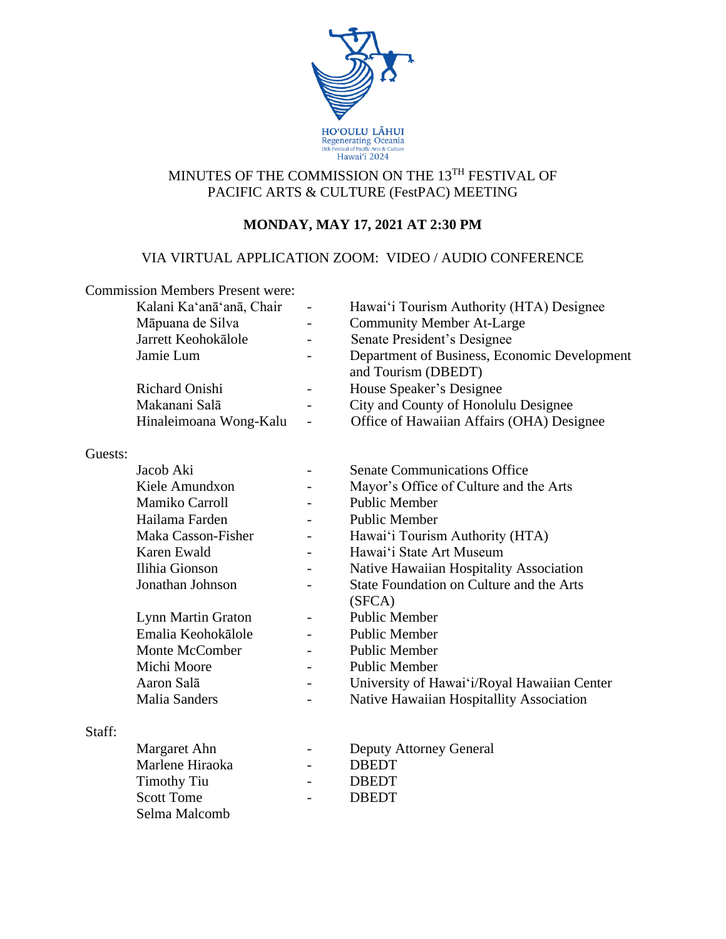

## MINUTES OF THE COMMISSION ON THE 13TH FESTIVAL OF PACIFIC ARTS & CULTURE (FestPAC) MEETING

# **MONDAY, MAY 17, 2021 AT 2:30 PM**

## VIA VIRTUAL APPLICATION ZOOM: VIDEO / AUDIO CONFERENCE

|         | <b>Commission Members Present were:</b> |                                                                     |
|---------|-----------------------------------------|---------------------------------------------------------------------|
|         | Kalani Ka'anā'anā, Chair                | Hawai'i Tourism Authority (HTA) Designee                            |
|         | Māpuana de Silva                        | <b>Community Member At-Large</b>                                    |
|         | Jarrett Keohokālole                     | Senate President's Designee                                         |
|         | Jamie Lum                               | Department of Business, Economic Development<br>and Tourism (DBEDT) |
|         | Richard Onishi                          | House Speaker's Designee                                            |
|         | Makanani Salā                           | City and County of Honolulu Designee                                |
|         | Hinaleimoana Wong-Kalu                  | Office of Hawaiian Affairs (OHA) Designee                           |
| Guests: |                                         |                                                                     |
|         | Jacob Aki                               | <b>Senate Communications Office</b>                                 |
|         | Kiele Amundxon                          | Mayor's Office of Culture and the Arts                              |
|         | Mamiko Carroll                          | <b>Public Member</b>                                                |
|         | Hailama Farden                          | <b>Public Member</b>                                                |
|         | Maka Casson-Fisher                      | Hawai'i Tourism Authority (HTA)                                     |
|         | Karen Ewald                             | Hawai'i State Art Museum                                            |
|         | Ilihia Gionson                          | Native Hawaiian Hospitality Association                             |
|         | Jonathan Johnson                        | State Foundation on Culture and the Arts                            |
|         |                                         | (SFCA)                                                              |
|         | Lynn Martin Graton                      | <b>Public Member</b>                                                |
|         | Emalia Keohokālole                      | <b>Public Member</b>                                                |
|         | Monte McComber                          | <b>Public Member</b>                                                |
|         | Michi Moore                             | <b>Public Member</b>                                                |
|         | Aaron Salā                              | University of Hawai'i/Royal Hawaiian Center                         |
|         | <b>Malia Sanders</b>                    | Native Hawaiian Hospitallity Association                            |
| Staff:  |                                         |                                                                     |
|         | Margaret Ahn                            | <b>Deputy Attorney General</b>                                      |
|         | Marlene Hiraoka                         | <b>DBEDT</b>                                                        |
|         | <b>Timothy Tiu</b>                      | <b>DBEDT</b>                                                        |
|         | <b>Scott Tome</b>                       | <b>DBEDT</b>                                                        |
|         | Selma Malcomb                           |                                                                     |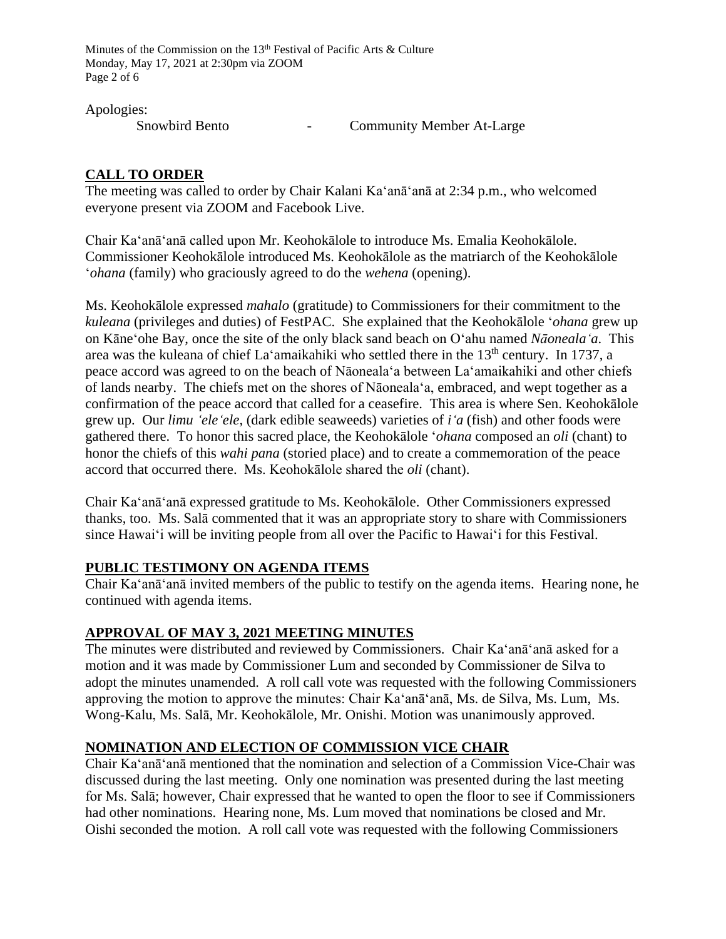Minutes of the Commission on the 13<sup>th</sup> Festival of Pacific Arts & Culture Monday, May 17, 2021 at 2:30pm via ZOOM Page 2 of 6

Apologies:

Snowbird Bento **-** Community Member At-Large

### **CALL TO ORDER**

The meeting was called to order by Chair Kalani Ka'anā'anā at 2:34 p.m., who welcomed everyone present via ZOOM and Facebook Live.

Chair Ka'anā'anā called upon Mr. Keohokālole to introduce Ms. Emalia Keohokālole. Commissioner Keohokālole introduced Ms. Keohokālole as the matriarch of the Keohokālole '*ohana* (family) who graciously agreed to do the *wehena* (opening).

Ms. Keohokālole expressed *mahalo* (gratitude) to Commissioners for their commitment to the *kuleana* (privileges and duties) of FestPAC. She explained that the Keohokālole '*ohana* grew up on Kāneʻohe Bay, once the site of the only black sand beach on Oʻahu named *Nāonealaʻa*. This area was the kuleana of chief La'amaikahiki who settled there in the 13<sup>th</sup> century. In 1737, a peace accord was agreed to on the beach of Nāonealaʻa between Laʻamaikahiki and other chiefs of lands nearby. The chiefs met on the shores of Nāonealaʻa, embraced, and wept together as a confirmation of the peace accord that called for a ceasefire. This area is where Sen. Keohokālole grew up. Our *limu ʻeleʻele,* (dark edible seaweeds) varieties of *iʻa* (fish) and other foods were gathered there. To honor this sacred place, the Keohokālole ʻ*ohana* composed an *oli* (chant) to honor the chiefs of this *wahi pana* (storied place) and to create a commemoration of the peace accord that occurred there. Ms. Keohokālole shared the *oli* (chant).

Chair Ka'anā'anā expressed gratitude to Ms. Keohokālole. Other Commissioners expressed thanks, too. Ms. Salā commented that it was an appropriate story to share with Commissioners since Hawai'i will be inviting people from all over the Pacific to Hawaiʻi for this Festival.

#### **PUBLIC TESTIMONY ON AGENDA ITEMS**

Chair Ka'anā'anā invited members of the public to testify on the agenda items. Hearing none, he continued with agenda items.

#### **APPROVAL OF MAY 3, 2021 MEETING MINUTES**

The minutes were distributed and reviewed by Commissioners. Chair Ka'anā'anā asked for a motion and it was made by Commissioner Lum and seconded by Commissioner de Silva to adopt the minutes unamended. A roll call vote was requested with the following Commissioners approving the motion to approve the minutes: Chair Ka'anā'anā, Ms. de Silva, Ms. Lum, Ms. Wong-Kalu, Ms. Salā, Mr. Keohokālole, Mr. Onishi. Motion was unanimously approved.

## **NOMINATION AND ELECTION OF COMMISSION VICE CHAIR**

Chair Ka'anā'anā mentioned that the nomination and selection of a Commission Vice-Chair was discussed during the last meeting. Only one nomination was presented during the last meeting for Ms. Salā; however, Chair expressed that he wanted to open the floor to see if Commissioners had other nominations. Hearing none, Ms. Lum moved that nominations be closed and Mr. Oishi seconded the motion. A roll call vote was requested with the following Commissioners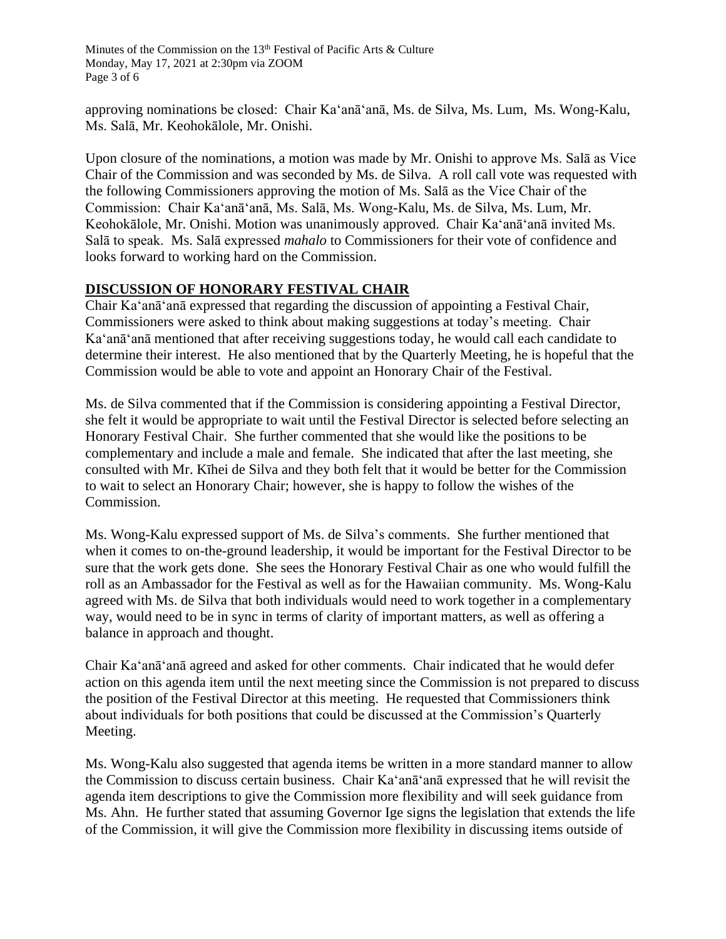Minutes of the Commission on the 13<sup>th</sup> Festival of Pacific Arts & Culture Monday, May 17, 2021 at 2:30pm via ZOOM Page 3 of 6

approving nominations be closed: Chair Ka'anā'anā, Ms. de Silva, Ms. Lum, Ms. Wong-Kalu, Ms. Salā, Mr. Keohokālole, Mr. Onishi.

Upon closure of the nominations, a motion was made by Mr. Onishi to approve Ms. Salā as Vice Chair of the Commission and was seconded by Ms. de Silva. A roll call vote was requested with the following Commissioners approving the motion of Ms. Salā as the Vice Chair of the Commission: Chair Kaʻanāʻanā, Ms. Salā, Ms. Wong-Kalu, Ms. de Silva, Ms. Lum, Mr. Keohokālole, Mr. Onishi. Motion was unanimously approved. Chair Kaʻanāʻanā invited Ms. Salā to speak. Ms. Salā expressed *mahalo* to Commissioners for their vote of confidence and looks forward to working hard on the Commission.

### **DISCUSSION OF HONORARY FESTIVAL CHAIR**

Chair Ka'anā'anā expressed that regarding the discussion of appointing a Festival Chair, Commissioners were asked to think about making suggestions at today's meeting. Chair Kaʻanāʻanā mentioned that after receiving suggestions today, he would call each candidate to determine their interest. He also mentioned that by the Quarterly Meeting, he is hopeful that the Commission would be able to vote and appoint an Honorary Chair of the Festival.

Ms. de Silva commented that if the Commission is considering appointing a Festival Director, she felt it would be appropriate to wait until the Festival Director is selected before selecting an Honorary Festival Chair. She further commented that she would like the positions to be complementary and include a male and female. She indicated that after the last meeting, she consulted with Mr. Kīhei de Silva and they both felt that it would be better for the Commission to wait to select an Honorary Chair; however, she is happy to follow the wishes of the Commission.

Ms. Wong-Kalu expressed support of Ms. de Silva's comments. She further mentioned that when it comes to on-the-ground leadership, it would be important for the Festival Director to be sure that the work gets done. She sees the Honorary Festival Chair as one who would fulfill the roll as an Ambassador for the Festival as well as for the Hawaiian community. Ms. Wong-Kalu agreed with Ms. de Silva that both individuals would need to work together in a complementary way, would need to be in sync in terms of clarity of important matters, as well as offering a balance in approach and thought.

Chair Ka'anā'anā agreed and asked for other comments. Chair indicated that he would defer action on this agenda item until the next meeting since the Commission is not prepared to discuss the position of the Festival Director at this meeting. He requested that Commissioners think about individuals for both positions that could be discussed at the Commission's Quarterly Meeting.

Ms. Wong-Kalu also suggested that agenda items be written in a more standard manner to allow the Commission to discuss certain business. Chair Kaʻanāʻanā expressed that he will revisit the agenda item descriptions to give the Commission more flexibility and will seek guidance from Ms. Ahn. He further stated that assuming Governor Ige signs the legislation that extends the life of the Commission, it will give the Commission more flexibility in discussing items outside of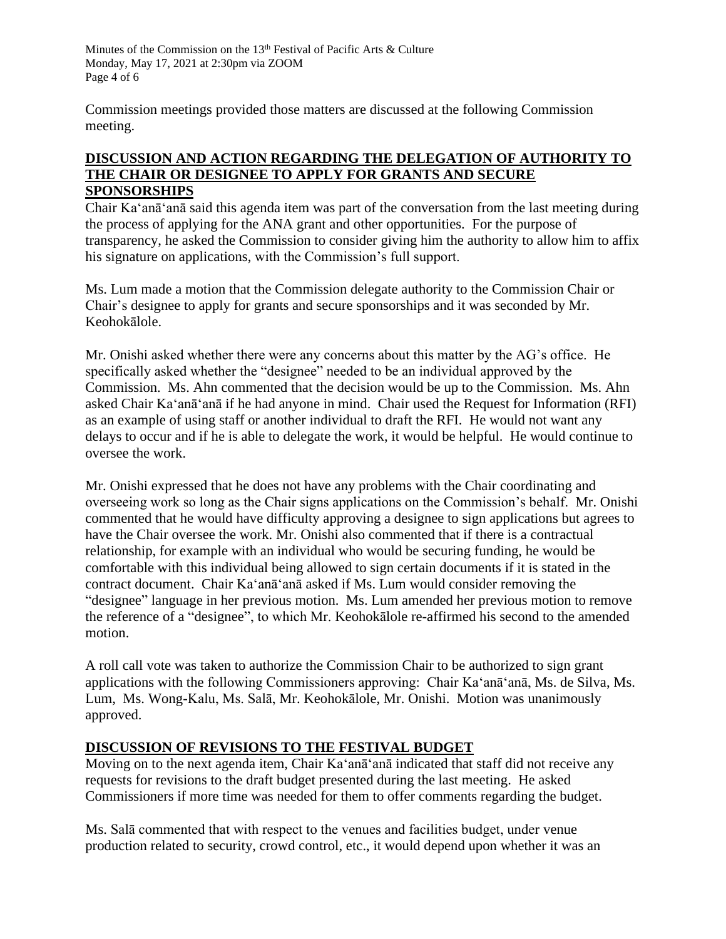Minutes of the Commission on the 13<sup>th</sup> Festival of Pacific Arts & Culture Monday, May 17, 2021 at 2:30pm via ZOOM Page 4 of 6

Commission meetings provided those matters are discussed at the following Commission meeting.

#### **DISCUSSION AND ACTION REGARDING THE DELEGATION OF AUTHORITY TO THE CHAIR OR DESIGNEE TO APPLY FOR GRANTS AND SECURE SPONSORSHIPS**

Chair Ka'anā'anā said this agenda item was part of the conversation from the last meeting during the process of applying for the ANA grant and other opportunities. For the purpose of transparency, he asked the Commission to consider giving him the authority to allow him to affix his signature on applications, with the Commission's full support.

Ms. Lum made a motion that the Commission delegate authority to the Commission Chair or Chair's designee to apply for grants and secure sponsorships and it was seconded by Mr. Keohokālole.

Mr. Onishi asked whether there were any concerns about this matter by the AG's office. He specifically asked whether the "designee" needed to be an individual approved by the Commission. Ms. Ahn commented that the decision would be up to the Commission. Ms. Ahn asked Chair Ka'anā'anā if he had anyone in mind. Chair used the Request for Information (RFI) as an example of using staff or another individual to draft the RFI. He would not want any delays to occur and if he is able to delegate the work, it would be helpful. He would continue to oversee the work.

Mr. Onishi expressed that he does not have any problems with the Chair coordinating and overseeing work so long as the Chair signs applications on the Commission's behalf. Mr. Onishi commented that he would have difficulty approving a designee to sign applications but agrees to have the Chair oversee the work. Mr. Onishi also commented that if there is a contractual relationship, for example with an individual who would be securing funding, he would be comfortable with this individual being allowed to sign certain documents if it is stated in the contract document. Chair Ka'anā'anā asked if Ms. Lum would consider removing the "designee" language in her previous motion. Ms. Lum amended her previous motion to remove the reference of a "designee", to which Mr. Keohokālole re-affirmed his second to the amended motion.

A roll call vote was taken to authorize the Commission Chair to be authorized to sign grant applications with the following Commissioners approving: Chair Ka'anā'anā, Ms. de Silva, Ms. Lum, Ms. Wong-Kalu, Ms. Salā, Mr. Keohokālole, Mr. Onishi. Motion was unanimously approved.

## **DISCUSSION OF REVISIONS TO THE FESTIVAL BUDGET**

Moving on to the next agenda item, Chair Ka'anā'anā indicated that staff did not receive any requests for revisions to the draft budget presented during the last meeting. He asked Commissioners if more time was needed for them to offer comments regarding the budget.

Ms. Salā commented that with respect to the venues and facilities budget, under venue production related to security, crowd control, etc., it would depend upon whether it was an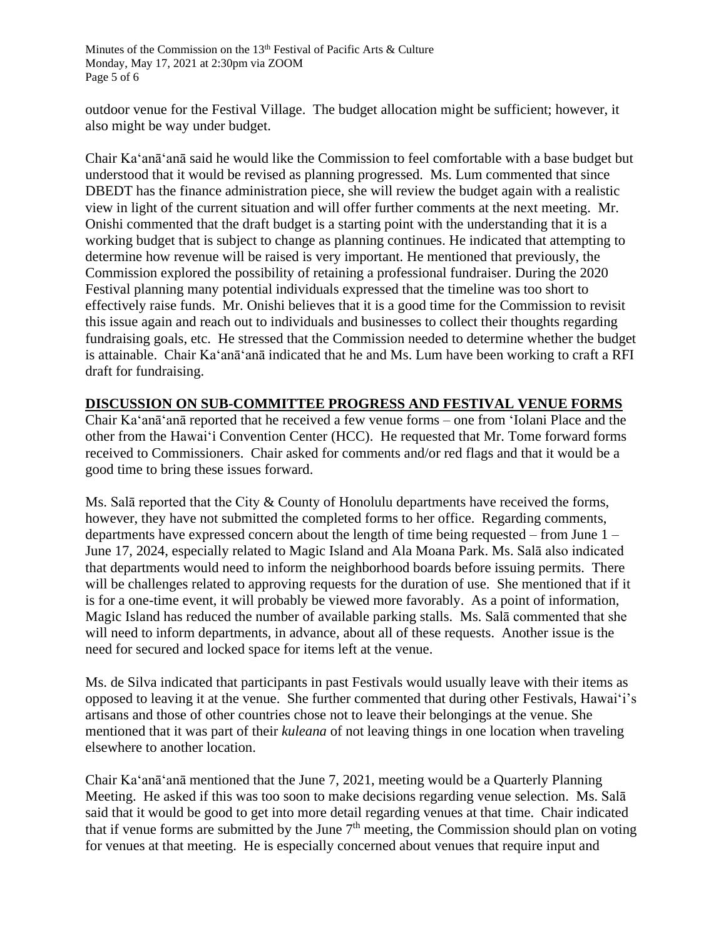outdoor venue for the Festival Village. The budget allocation might be sufficient; however, it also might be way under budget.

Chair Ka'anā'anā said he would like the Commission to feel comfortable with a base budget but understood that it would be revised as planning progressed. Ms. Lum commented that since DBEDT has the finance administration piece, she will review the budget again with a realistic view in light of the current situation and will offer further comments at the next meeting. Mr. Onishi commented that the draft budget is a starting point with the understanding that it is a working budget that is subject to change as planning continues. He indicated that attempting to determine how revenue will be raised is very important. He mentioned that previously, the Commission explored the possibility of retaining a professional fundraiser. During the 2020 Festival planning many potential individuals expressed that the timeline was too short to effectively raise funds. Mr. Onishi believes that it is a good time for the Commission to revisit this issue again and reach out to individuals and businesses to collect their thoughts regarding fundraising goals, etc. He stressed that the Commission needed to determine whether the budget is attainable. Chair Ka'anā'anā indicated that he and Ms. Lum have been working to craft a RFI draft for fundraising.

### **DISCUSSION ON SUB-COMMITTEE PROGRESS AND FESTIVAL VENUE FORMS**

Chair Ka'anā'anā reported that he received a few venue forms – one from ʻIolani Place and the other from the Hawaiʻi Convention Center (HCC). He requested that Mr. Tome forward forms received to Commissioners. Chair asked for comments and/or red flags and that it would be a good time to bring these issues forward.

Ms. Salā reported that the City & County of Honolulu departments have received the forms, however, they have not submitted the completed forms to her office. Regarding comments, departments have expressed concern about the length of time being requested – from June 1 – June 17, 2024, especially related to Magic Island and Ala Moana Park. Ms. Salā also indicated that departments would need to inform the neighborhood boards before issuing permits. There will be challenges related to approving requests for the duration of use. She mentioned that if it is for a one-time event, it will probably be viewed more favorably. As a point of information, Magic Island has reduced the number of available parking stalls. Ms. Salā commented that she will need to inform departments, in advance, about all of these requests. Another issue is the need for secured and locked space for items left at the venue.

Ms. de Silva indicated that participants in past Festivals would usually leave with their items as opposed to leaving it at the venue. She further commented that during other Festivals, Hawaiʻi's artisans and those of other countries chose not to leave their belongings at the venue. She mentioned that it was part of their *kuleana* of not leaving things in one location when traveling elsewhere to another location.

Chair Ka'anā'anā mentioned that the June 7, 2021, meeting would be a Quarterly Planning Meeting. He asked if this was too soon to make decisions regarding venue selection. Ms. Salā said that it would be good to get into more detail regarding venues at that time. Chair indicated that if venue forms are submitted by the June  $7<sup>th</sup>$  meeting, the Commission should plan on voting for venues at that meeting. He is especially concerned about venues that require input and